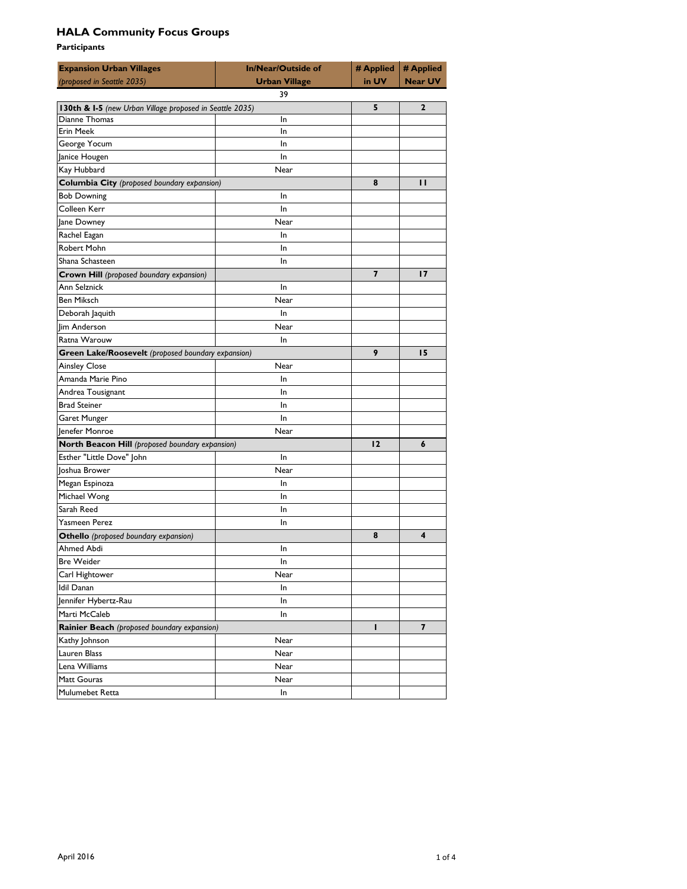| <b>Expansion Urban Villages</b><br>(proposed in Seattle 2035)              | <b>In/Near/Outside of</b><br><b>Urban Village</b> | # Applied<br>in UV | # Applied<br><b>Near UV</b> |
|----------------------------------------------------------------------------|---------------------------------------------------|--------------------|-----------------------------|
|                                                                            | 39                                                |                    |                             |
| 130th & I-5 (new Urban Village proposed in Seattle 2035)                   |                                                   | 5                  | $\overline{2}$              |
| Dianne Thomas                                                              | In                                                |                    |                             |
| Erin Meek                                                                  | In                                                |                    |                             |
| George Yocum                                                               | In                                                |                    |                             |
| Janice Hougen                                                              | In                                                |                    |                             |
| Kay Hubbard                                                                | Near                                              |                    |                             |
| Columbia City (proposed boundary expansion)                                |                                                   | 8                  | $\mathbf{H}$                |
| <b>Bob Downing</b>                                                         | In                                                |                    |                             |
| Colleen Kerr                                                               | In                                                |                    |                             |
| Jane Downey                                                                | Near                                              |                    |                             |
| Rachel Eagan                                                               | In                                                |                    |                             |
| Robert Mohn                                                                | In                                                |                    |                             |
| Shana Schasteen                                                            | In                                                |                    |                             |
| Crown Hill (proposed boundary expansion)                                   |                                                   | 7                  | 17                          |
| Ann Selznick                                                               | In                                                |                    |                             |
| <b>Ben Miksch</b>                                                          | Near                                              |                    |                             |
| Deborah Jaquith                                                            | In                                                |                    |                             |
| lim Anderson                                                               | Near                                              |                    |                             |
| Ratna Warouw                                                               | In                                                |                    |                             |
|                                                                            |                                                   | 9                  | 15                          |
| Green Lake/Roosevelt (proposed boundary expansion)<br><b>Ainsley Close</b> | Near                                              |                    |                             |
| Amanda Marie Pino                                                          | In                                                |                    |                             |
|                                                                            |                                                   |                    |                             |
| Andrea Tousignant                                                          | In                                                |                    |                             |
| <b>Brad Steiner</b>                                                        | In                                                |                    |                             |
| Garet Munger                                                               | In                                                |                    |                             |
| Jenefer Monroe                                                             | Near                                              |                    |                             |
| North Beacon Hill (proposed boundary expansion)                            |                                                   | 12                 | 6                           |
| Esther "Little Dove" John                                                  | In                                                |                    |                             |
| Joshua Brower                                                              | Near                                              |                    |                             |
| Megan Espinoza                                                             | In                                                |                    |                             |
| Michael Wong                                                               | In                                                |                    |                             |
| Sarah Reed                                                                 | In                                                |                    |                             |
| Yasmeen Perez                                                              | In                                                |                    |                             |
| <b>Othello</b> (proposed boundary expansion)                               |                                                   | 8                  | 4                           |
| Ahmed Abdi                                                                 | In                                                |                    |                             |
| Bre Weider                                                                 | In                                                |                    |                             |
| Carl Hightower                                                             | Near                                              |                    |                             |
| <b>Idil Danan</b>                                                          | In                                                |                    |                             |
| Jennifer Hybertz-Rau                                                       | In                                                |                    |                             |
| Marti McCaleb                                                              | <b>In</b>                                         |                    |                             |
| Rainier Beach (proposed boundary expansion)                                |                                                   | п                  | 7                           |
| Kathy Johnson                                                              | Near                                              |                    |                             |
| Lauren Blass                                                               | Near                                              |                    |                             |
| Lena Williams                                                              | Near                                              |                    |                             |
| Matt Gouras                                                                | Near                                              |                    |                             |
| Mulumebet Retta                                                            | In                                                |                    |                             |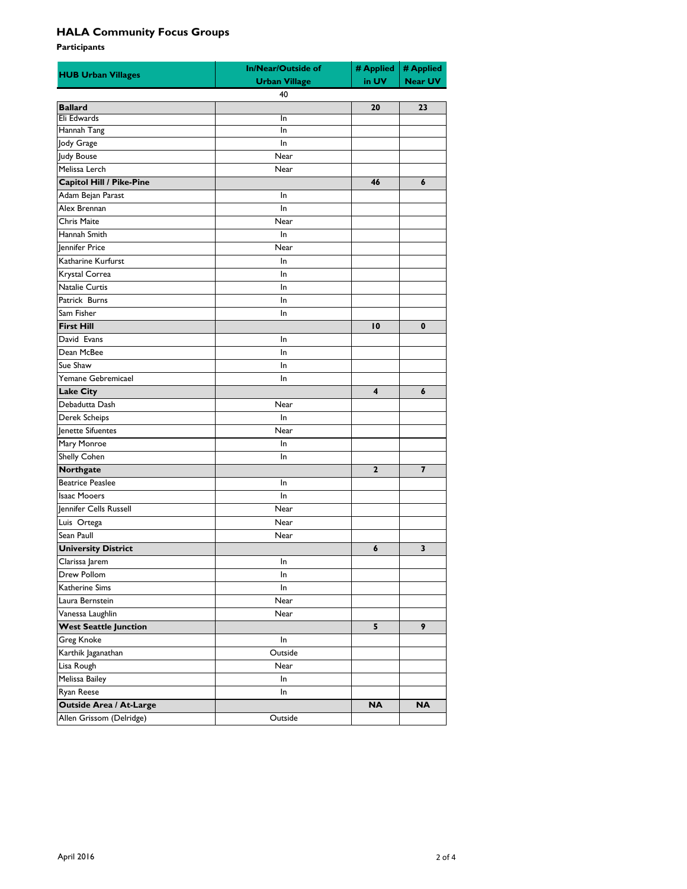| <b>HUB Urban Villages</b>    | In/Near/Outside of<br><b>Urban Village</b> | # Applied<br>in UV | # Applied<br><b>Near UV</b> |
|------------------------------|--------------------------------------------|--------------------|-----------------------------|
|                              | 40                                         |                    |                             |
| <b>Ballard</b>               |                                            | 20                 | 23                          |
| Eli Edwards                  | In                                         |                    |                             |
| Hannah Tang                  | In                                         |                    |                             |
| Jody Grage                   | In                                         |                    |                             |
| Judy Bouse                   | Near                                       |                    |                             |
| Melissa Lerch                | Near                                       |                    |                             |
| Capitol Hill / Pike-Pine     |                                            | 46                 | 6                           |
| Adam Bejan Parast            | In                                         |                    |                             |
| Alex Brennan                 | In                                         |                    |                             |
| Chris Maite                  | Near                                       |                    |                             |
| Hannah Smith                 | In                                         |                    |                             |
| <b>Jennifer Price</b>        | Near                                       |                    |                             |
| Katharine Kurfurst           | In                                         |                    |                             |
| Krystal Correa               | In                                         |                    |                             |
| Natalie Curtis               | In                                         |                    |                             |
| Patrick Burns                | In                                         |                    |                             |
| Sam Fisher                   | In                                         |                    |                             |
| <b>First Hill</b>            |                                            | 10                 | 0                           |
| David Evans                  | In                                         |                    |                             |
| Dean McBee                   | In                                         |                    |                             |
| Sue Shaw                     | In                                         |                    |                             |
| Yemane Gebremicael           | In                                         |                    |                             |
| Lake City                    |                                            | 4                  | 6                           |
| Debadutta Dash               | Near                                       |                    |                             |
| Derek Scheips                | In                                         |                    |                             |
| Jenette Sifuentes            | Near                                       |                    |                             |
| Mary Monroe                  | In                                         |                    |                             |
| Shelly Cohen                 | In                                         |                    |                             |
| Northgate                    |                                            | 2                  | 7                           |
| <b>Beatrice Peaslee</b>      | In                                         |                    |                             |
| <b>Isaac Mooers</b>          | In                                         |                    |                             |
| Jennifer Cells Russell       | Near                                       |                    |                             |
| Luis Ortega                  | Near                                       |                    |                             |
| Sean Paull                   | Near                                       |                    |                             |
| <b>University District</b>   |                                            | 6                  | 3                           |
| Clarissa Jarem               | $\ln$                                      |                    |                             |
| Drew Pollom                  | In                                         |                    |                             |
| Katherine Sims               | In                                         |                    |                             |
| Laura Bernstein              | Near                                       |                    |                             |
| Vanessa Laughlin             | Near                                       |                    |                             |
| <b>West Seattle Junction</b> |                                            | 5                  | 9                           |
| Greg Knoke                   | In                                         |                    |                             |
| Karthik Jaganathan           | Outside                                    |                    |                             |
|                              | Near                                       |                    |                             |
| Lisa Rough<br>Melissa Bailey | In                                         |                    |                             |
| Ryan Reese                   |                                            |                    |                             |
|                              | In                                         | <b>NA</b>          | <b>NA</b>                   |
| Outside Area / At-Large      |                                            |                    |                             |
| Allen Grissom (Delridge)     | Outside                                    |                    |                             |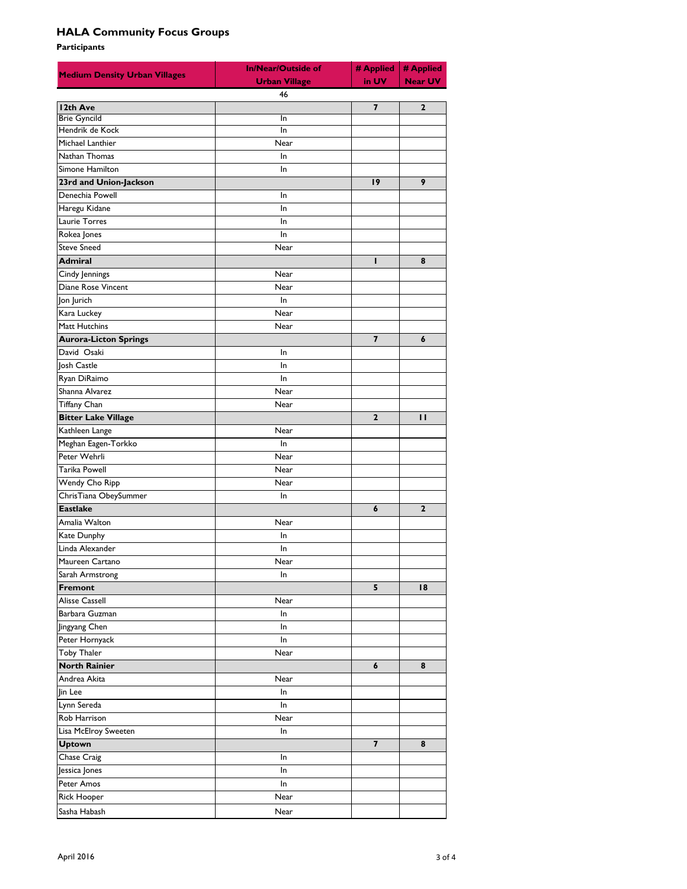| <b>Medium Density Urban Villages</b> | <b>In/Near/Outside of</b><br><b>Urban Village</b> | # Applied<br>in UV      | # Applied<br><b>Near UV</b> |  |
|--------------------------------------|---------------------------------------------------|-------------------------|-----------------------------|--|
| 46                                   |                                                   |                         |                             |  |
| 12th Ave                             |                                                   | $\overline{\mathbf{z}}$ | $\overline{2}$              |  |
| <b>Brie Gyncild</b>                  | In                                                |                         |                             |  |
| Hendrik de Kock                      | In                                                |                         |                             |  |
| Michael Lanthier                     | Near                                              |                         |                             |  |
| Nathan Thomas                        | In                                                |                         |                             |  |
| Simone Hamilton                      | In                                                |                         |                             |  |
| 23rd and Union-Jackson               |                                                   | 19                      | 9                           |  |
| Denechia Powell                      | In                                                |                         |                             |  |
| Haregu Kidane                        | In                                                |                         |                             |  |
| Laurie Torres                        | In                                                |                         |                             |  |
| Rokea Jones                          | In                                                |                         |                             |  |
| <b>Steve Sneed</b>                   | Near                                              |                         |                             |  |
| <b>Admiral</b>                       |                                                   | ı                       | 8                           |  |
| Cindy Jennings                       | Near                                              |                         |                             |  |
| Diane Rose Vincent                   | Near                                              |                         |                             |  |
| Jon Jurich                           | In                                                |                         |                             |  |
| Kara Luckey                          | Near                                              |                         |                             |  |
| Matt Hutchins                        | Near                                              |                         |                             |  |
| <b>Aurora-Licton Springs</b>         |                                                   | 7                       | 6                           |  |
| David Osaki                          | In.                                               |                         |                             |  |
| <b>losh Castle</b>                   | In                                                |                         |                             |  |
| Ryan DiRaimo                         | In                                                |                         |                             |  |
| Shanna Alvarez                       | Near                                              |                         |                             |  |
| Tiffany Chan                         | Near                                              |                         |                             |  |
| <b>Bitter Lake Village</b>           |                                                   | $\overline{2}$          | п                           |  |
| Kathleen Lange                       | Near                                              |                         |                             |  |
| Meghan Eagen-Torkko                  | In.                                               |                         |                             |  |
| Peter Wehrli                         | Near                                              |                         |                             |  |
| Tarika Powell                        | Near                                              |                         |                             |  |
|                                      |                                                   |                         |                             |  |
| Wendy Cho Ripp                       | Near                                              |                         |                             |  |
| ChrisTiana ObeySummer                | In                                                |                         |                             |  |
| <b>Eastlake</b>                      |                                                   | 6                       | $\overline{2}$              |  |
| Amalia Walton                        | Near                                              |                         |                             |  |
| Kate Dunphy                          | In                                                |                         |                             |  |
| Linda Alexander                      | In                                                |                         |                             |  |
| Maureen Cartano                      | Near                                              |                         |                             |  |
| Sarah Armstrong                      | In                                                |                         |                             |  |
| <b>Fremont</b>                       |                                                   | 5                       | 18                          |  |
| Alisse Cassell                       | Near                                              |                         |                             |  |
| Barbara Guzman                       | In                                                |                         |                             |  |
| Jingyang Chen                        | In                                                |                         |                             |  |
| Peter Hornyack                       | In.                                               |                         |                             |  |
| Toby Thaler                          | Near                                              |                         |                             |  |
| <b>North Rainier</b>                 |                                                   | 6                       | 8                           |  |
| Andrea Akita                         | Near                                              |                         |                             |  |
| lin Lee                              | In                                                |                         |                             |  |
| Lynn Sereda                          | In                                                |                         |                             |  |
| Rob Harrison                         | Near                                              |                         |                             |  |
| Lisa McElroy Sweeten                 | In                                                |                         |                             |  |
| <b>Uptown</b>                        |                                                   | $\overline{7}$          | 8                           |  |
| Chase Craig                          | In                                                |                         |                             |  |
| Jessica Jones                        | In                                                |                         |                             |  |
| Peter Amos                           | In                                                |                         |                             |  |
| <b>Rick Hooper</b>                   | Near                                              |                         |                             |  |
| Sasha Habash                         | Near                                              |                         |                             |  |